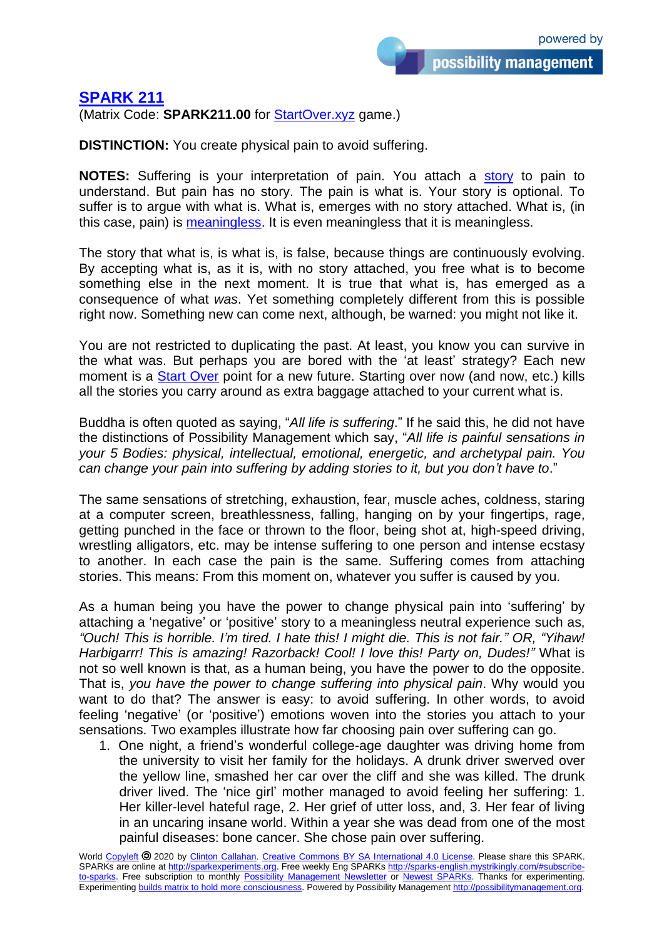## **[SPARK 211](http://sparks-english.mystrikingly.com/)**

(Matrix Code: **SPARK211.00** for [StartOver.xyz](http://startoverxyz.mystrikingly.com/) game.)

**DISTINCTION:** You create physical pain to avoid suffering.

**NOTES:** Suffering is your interpretation of pain. You attach a [story](http://storyworld.mystrikingly.com/) to pain to understand. But pain has no story. The pain is what is. Your story is optional. To suffer is to argue with what is. What is, emerges with no story attached. What is, (in this case, pain) is [meaningless.](http://mapofpossibility.mystrikingly.com/) It is even meaningless that it is meaningless.

The story that what is, is what is, is false, because things are continuously evolving. By accepting what is, as it is, with no story attached, you free what is to become something else in the next moment. It is true that what is, has emerged as a consequence of what *was*. Yet something completely different from this is possible right now. Something new can come next, although, be warned: you might not like it.

You are not restricted to duplicating the past. At least, you know you can survive in the what was. But perhaps you are bored with the 'at least' strategy? Each new moment is a **[Start Over](http://startoverxyz.mystrikingly.com/) point for a new future. Starting over now (and now, etc.) kills** all the stories you carry around as extra baggage attached to your current what is.

Buddha is often quoted as saying, "*All life is suffering*." If he said this, he did not have the distinctions of Possibility Management which say, "*All life is painful sensations in your 5 Bodies: physical, intellectual, emotional, energetic, and archetypal pain. You can change your pain into suffering by adding stories to it, but you don't have to*."

The same sensations of stretching, exhaustion, fear, muscle aches, coldness, staring at a computer screen, breathlessness, falling, hanging on by your fingertips, rage, getting punched in the face or thrown to the floor, being shot at, high-speed driving, wrestling alligators, etc. may be intense suffering to one person and intense ecstasy to another. In each case the pain is the same. Suffering comes from attaching stories. This means: From this moment on, whatever you suffer is caused by you.

As a human being you have the power to change physical pain into 'suffering' by attaching a 'negative' or 'positive' story to a meaningless neutral experience such as, *"Ouch! This is horrible. I'm tired. I hate this! I might die. This is not fair." OR, "Yihaw! Harbigarrr! This is amazing! Razorback! Cool! I love this! Party on, Dudes!"* What is not so well known is that, as a human being, you have the power to do the opposite. That is, *you have the power to change suffering into physical pain*. Why would you want to do that? The answer is easy: to avoid suffering. In other words, to avoid feeling 'negative' (or 'positive') emotions woven into the stories you attach to your sensations. Two examples illustrate how far choosing pain over suffering can go.

1. One night, a friend's wonderful college-age daughter was driving home from the university to visit her family for the holidays. A drunk driver swerved over the yellow line, smashed her car over the cliff and she was killed. The drunk driver lived. The 'nice girl' mother managed to avoid feeling her suffering: 1. Her killer-level hateful rage, 2. Her grief of utter loss, and, 3. Her fear of living in an uncaring insane world. Within a year she was dead from one of the most painful diseases: bone cancer. She chose pain over suffering.